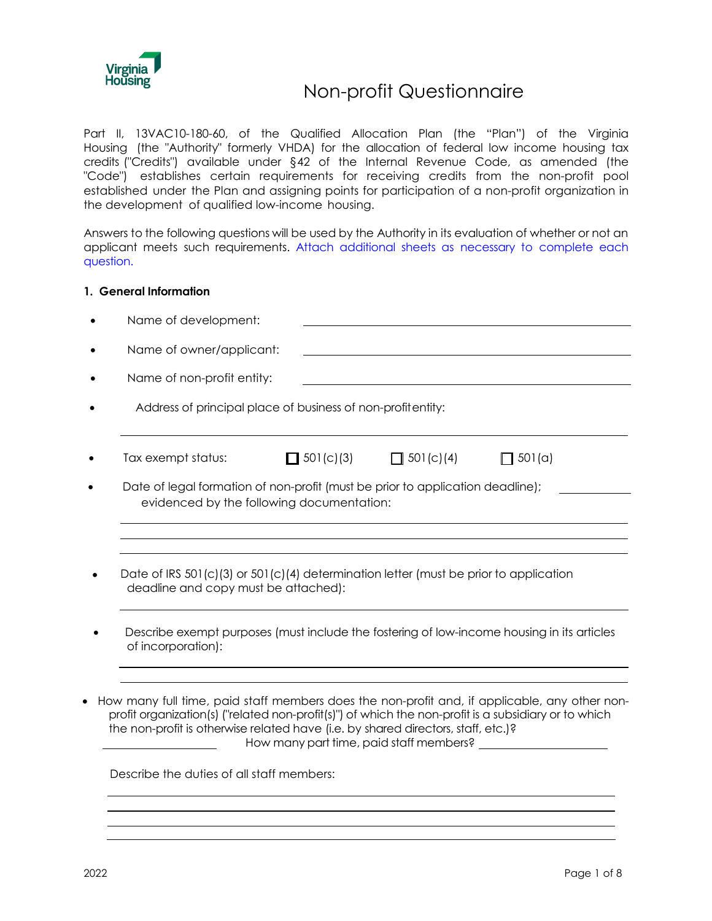

# Non-profit Questionnaire

Part II, 13VAC10-180-60, of the Qualified Allocation Plan (the "Plan") of the Virginia Housing (the "Authority" formerly VHDA) for the allocation of federal low income housing tax credits ("Credits") available under §42 of the Internal Revenue Code, as amended (the "Code") establishes certain requirements for receiving credits from the non-profit pool established under the Plan and assigning points for participation of a non-profit organization in the development of qualified low-income housing.

Answers to the following questions will be used by the Authority in its evaluation of whether or not an applicant meets such requirements. Attach additional sheets as necessary to complete each question.

#### **1. General Information**

| Name of development:                                                                                                                                                                                                                                                                                                                    |                  |                  |        |
|-----------------------------------------------------------------------------------------------------------------------------------------------------------------------------------------------------------------------------------------------------------------------------------------------------------------------------------------|------------------|------------------|--------|
| Name of owner/applicant:                                                                                                                                                                                                                                                                                                                |                  |                  |        |
| Name of non-profit entity:                                                                                                                                                                                                                                                                                                              |                  |                  |        |
| Address of principal place of business of non-profitentity:                                                                                                                                                                                                                                                                             |                  |                  |        |
| Tax exempt status:                                                                                                                                                                                                                                                                                                                      | $\Box$ 501(c)(3) | $\Box$ 501(c)(4) | 501(a) |
| Date of legal formation of non-profit (must be prior to application deadline);<br>evidenced by the following documentation:                                                                                                                                                                                                             |                  |                  |        |
| Date of IRS $501(c)(3)$ or $501(c)(4)$ determination letter (must be prior to application<br>deadline and copy must be attached):                                                                                                                                                                                                       |                  |                  |        |
| Describe exempt purposes (must include the fostering of low-income housing in its articles<br>of incorporation):                                                                                                                                                                                                                        |                  |                  |        |
| How many full time, paid staff members does the non-profit and, if applicable, any other non-<br>profit organization(s) ("related non-profit(s)") of which the non-profit is a subsidiary or to which<br>the non-profit is otherwise related have (i.e. by shared directors, staff, etc.)?<br>Describe the duties of all staff members: |                  |                  |        |
|                                                                                                                                                                                                                                                                                                                                         |                  |                  |        |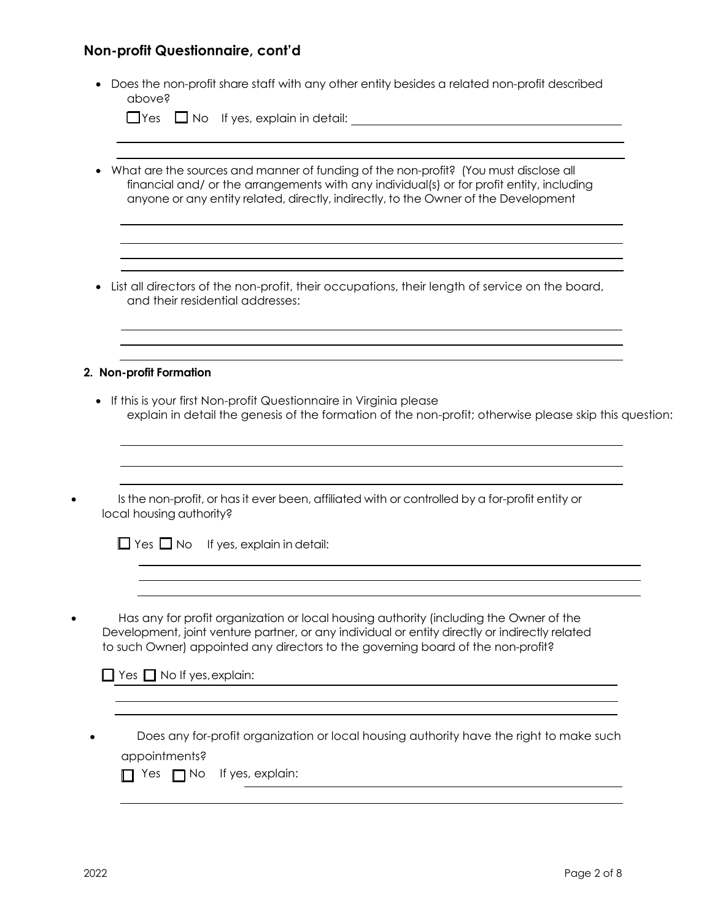| apove?                                |                                                                                                                                                                                                                                                                              |
|---------------------------------------|------------------------------------------------------------------------------------------------------------------------------------------------------------------------------------------------------------------------------------------------------------------------------|
|                                       |                                                                                                                                                                                                                                                                              |
|                                       | What are the sources and manner of funding of the non-profit? (You must disclose all<br>financial and/ or the arrangements with any individual(s) or for profit entity, including<br>anyone or any entity related, directly, indirectly, to the Owner of the Development     |
|                                       | List all directors of the non-profit, their occupations, their length of service on the board,<br>and their residential addresses:                                                                                                                                           |
| 2. Non-profit Formation               |                                                                                                                                                                                                                                                                              |
|                                       | If this is your first Non-profit Questionnaire in Virginia please<br>explain in detail the genesis of the formation of the non-profit; otherwise please skip this question:                                                                                                  |
|                                       | Is the non-profit, or has it ever been, affiliated with or controlled by a for-profit entity or                                                                                                                                                                              |
|                                       | $\Box$ Yes $\Box$ No If yes, explain in detail:                                                                                                                                                                                                                              |
| local housing authority?              | Has any for profit organization or local housing authority (including the Owner of the<br>Development, joint venture partner, or any individual or entity directly or indirectly related<br>to such Owner) appointed any directors to the governing board of the non-profit? |
| $\Box$ Yes $\Box$ No If yes, explain: |                                                                                                                                                                                                                                                                              |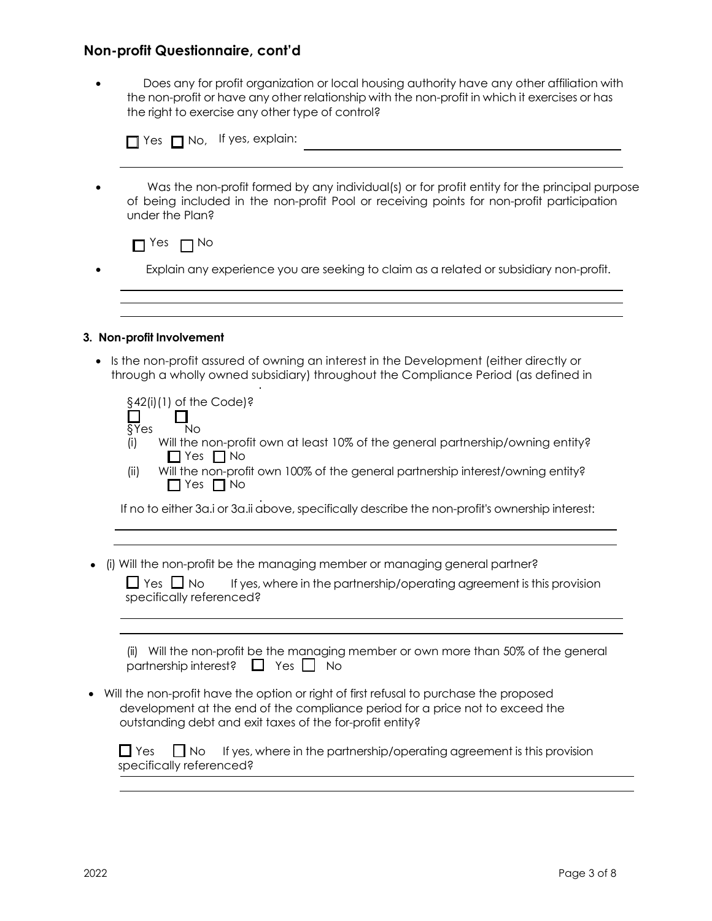• Does any for profit organization or local housing authority have any other affiliation with the non-profit or have any other relationship with the non-profit in which it exercises or has the right to exercise any other type of control?

| Was the non-profit formed by any individual(s) or for profit entity for the principal purpose<br>of being included in the non-profit Pool or receiving points for non-profit participation<br>under the Plan? |
|---------------------------------------------------------------------------------------------------------------------------------------------------------------------------------------------------------------|
| Yes<br>$\Box$ No                                                                                                                                                                                              |
| Explain any experience you are seeking to claim as a related or subsidiary non-profit.                                                                                                                        |
|                                                                                                                                                                                                               |
|                                                                                                                                                                                                               |

| $\S42(i)(1)$ of the Code)?<br>$\overline{\S{Y}}$ es<br>Nο<br>Will the non-profit own at least 10% of the general partnership/owning entity?<br>(i)<br>$\Box$ Yes $\Box$ No<br>Will the non-profit own 100% of the general partnership interest/owning entity?<br>(ii)<br>Yes $\Box$ No |
|----------------------------------------------------------------------------------------------------------------------------------------------------------------------------------------------------------------------------------------------------------------------------------------|
| If no to either 3a.i or 3a.ii above, specifically describe the non-profit's ownership interest:                                                                                                                                                                                        |
|                                                                                                                                                                                                                                                                                        |
| (i) Will the non-profit be the managing member or managing general partner?<br>$\Box$ Yes $\Box$ No<br>If yes, where in the partnership/operating agreement is this provision<br>specifically referenced?                                                                              |
| Will the non-profit be the managing member or own more than 50% of the general<br>(ii)<br>partnership interest?<br>$Yes$    <br>ΙI<br>No                                                                                                                                               |
| Will the non-profit have the option or right of first refusal to purchase the proposed<br>development at the end of the compliance period for a price not to exceed the<br>outstanding debt and exit taxes of the for-profit entity?                                                   |
| $\Box$ Yes<br>I I No<br>If yes, where in the partnership/operating agreement is this provision<br>specifically referenced?                                                                                                                                                             |
|                                                                                                                                                                                                                                                                                        |
|                                                                                                                                                                                                                                                                                        |

 $\overline{\phantom{0}}$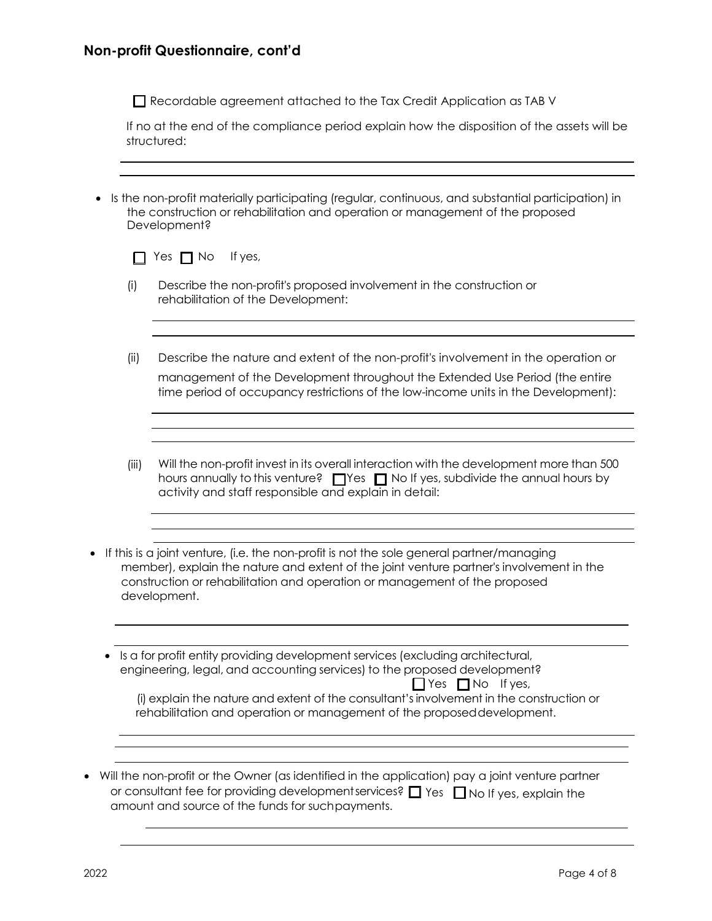Recordable agreement attached to the Tax Credit Application as TAB V

If no at the end of the compliance period explain how the disposition of the assets will be structured:

• Is the non-profit materially participating (regular, continuous, and substantial participation) in the construction or rehabilitation and operation or management of the proposed Development?

|  |  | $\Box$ Yes $\Box$ No If yes, |
|--|--|------------------------------|

- (i) Describe the non-profit's proposed involvement in the construction or rehabilitation of the Development:
- (ii) Describe the nature and extent of the non-profit's involvement in the operation or management of the Development throughout the Extended Use Period (the entire time period of occupancy restrictions of the low-income units in the Development):
- (iii) Will the non-profit invest in its overall interaction with the development more than 500 hours annually to this venture?  $\Box$  Yes  $\Box$  No If yes, subdivide the annual hours by activity and staff responsible and explain in detail:
- If this is a joint venture, (i.e. the non-profit is not the sole general partner/managing member), explain the nature and extent of the joint venture partner's involvement in the construction or rehabilitation and operation or management of the proposed development.
	- Is a for profit entity providing development services (excluding architectural, engineering, legal, and accounting services) to the proposed development?

| $\Box$ Yes $\Box$ No If yes,                                                             |
|------------------------------------------------------------------------------------------|
| (i) explain the nature and extent of the consultant's involvement in the construction or |
| rehabilitation and operation or management of the proposed development.                  |

• Will the non-profit or the Owner (as identified in the application) pay a joint venture partner or consultant fee for providing development services?  $\Box$  Yes  $\;\Box$  No If yes, explain the amount and source of the funds for suchpayments.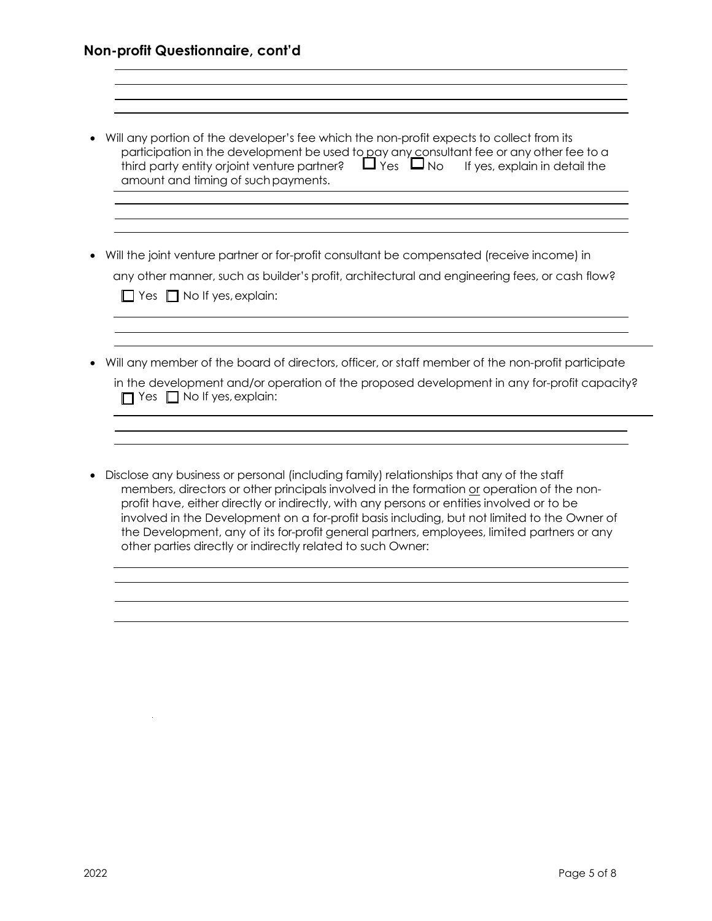- Will any portion of the developer's fee which the non-profit expects to collect from its participation in the development be used to <u>p</u>ay any consultant fee or any other fee to a third party entity orjoint venture partner?  $\quad \blacksquare$  Yes  $\quad \blacksquare$  No  $\quad$  If yes, explain in detail the amount and timing of suchpayments.
- Will the joint venture partner or for-profit consultant be compensated (receive income) in any other manner, such as builder's profit, architectural and engineering fees, or cash flow?  $\Box$  Yes  $\Box$  No If yes, explain:
- Will any member of the board of directors, officer, or staff member of the non-profit participate

| in the development and/or operation of the proposed development in any for-profit capacity? |  |
|---------------------------------------------------------------------------------------------|--|
| $\Box$ Yes $\Box$ No If yes, explain:                                                       |  |

• Disclose any business or personal (including family) relationships that any of the staff members, directors or other principals involved in the formation or operation of the nonprofit have, either directly or indirectly, with any persons or entities involved or to be involved in the Development on a for-profit basis including, but not limited to the Owner of the Development, any of its for-profit general partners, employees, limited partners or any other parties directly or indirectly related to such Owner: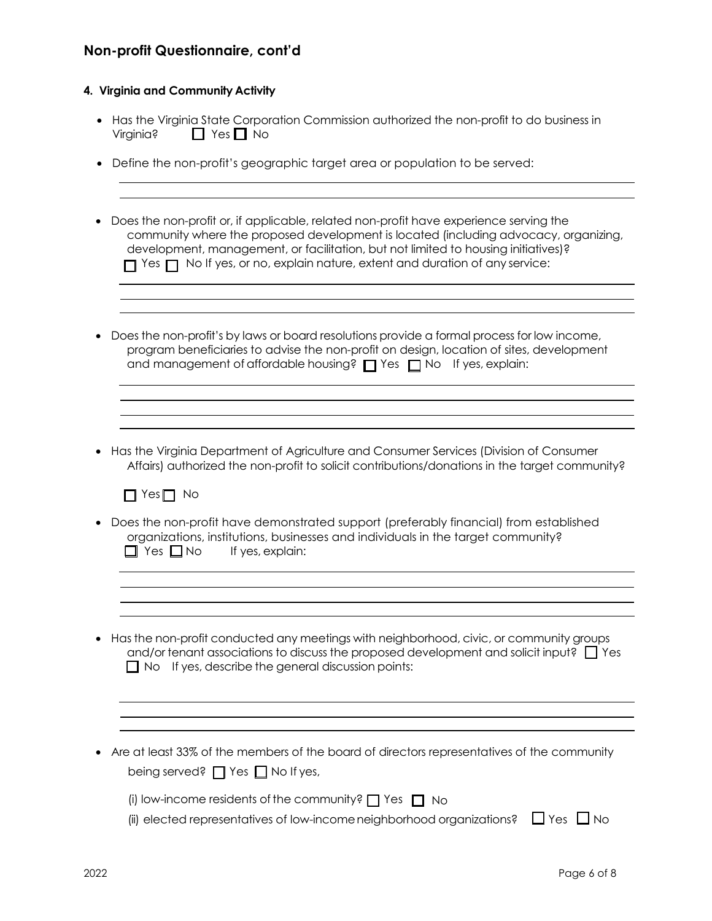#### **4. Virginia and Community Activity**

- Has the Virginia State Corporation Commission authorized the non-profit to do business in  $Virginia?$   $\Box$  Yes  $\Box$  No
- Define the non-profit's geographic target area or population to be served:
- Does the non-profit or, if applicable, related non-profit have experience serving the community where the proposed development is located (including advocacy, organizing, development, management, or facilitation, but not limited to housing initiatives)?  $\Box$  Yes  $\Box$  No If yes, or no, explain nature, extent and duration of any service:
- Does the non-profit's by laws or board resolutions provide a formal process for low income, program beneficiaries to advise the non-profit on design, location of sites, development and management of affordable housing?  $\Box$  Yes  $\Box$  No If yes, explain:
- Has the Virginia Department of Agriculture and Consumer Services (Division of Consumer Affairs) authorized the non-profit to solicit contributions/donations in the target community?

 $\Box$  Yes  $\Box$  No

- Does the non-profit have demonstrated support (preferably financial) from established organizations, institutions, businesses and individuals in the target community?  $\Box$  Yes  $\Box$  No If yes, explain:
- Has the non-profit conducted any meetings with neighborhood, civic, or community groups and/or tenant associations to discuss the proposed development and solicit input?  $\Box$  Yes  $\Box$  No If yes, describe the general discussion points:
- Are at least 33% of the members of the board of directors representatives of the community being served?  $\Box$  Yes  $\Box$  No If yes,

(ii) elected representatives of low-income neighborhood organizations?  $\Box$  Yes  $\Box$  No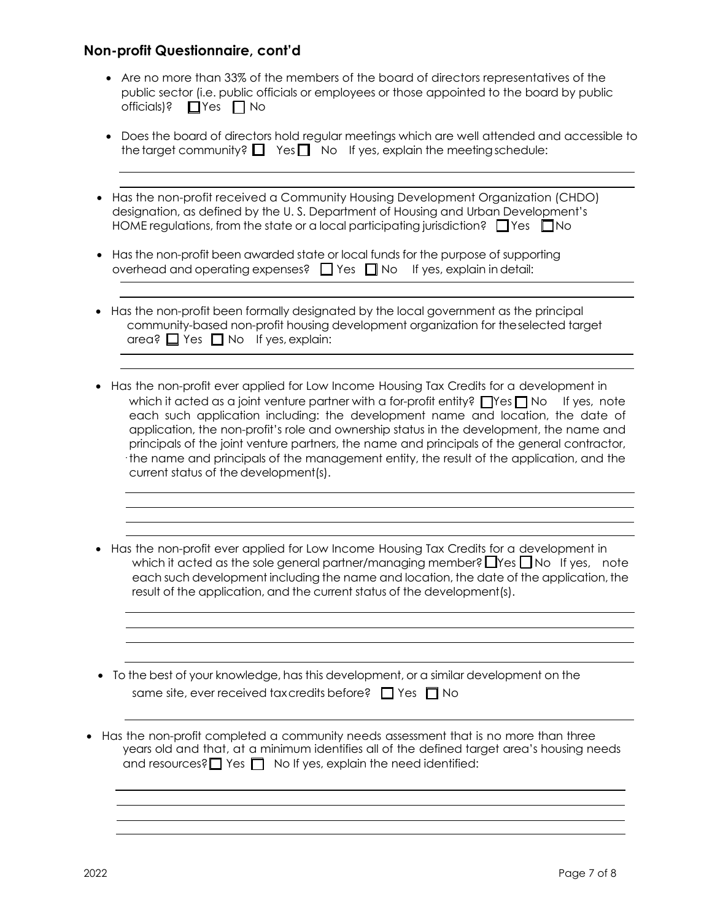- Are no more than 33% of the members of the board of directors representatives of the public sector (i.e. public officials or employees or those appointed to the board by public officials)?  $\Box$  Yes  $\Box$  No
- Does the board of directors hold regular meetings which are well attended and accessible to the target community?  $\Box$  Yes  $\Box$  No If yes, explain the meeting schedule:
- Has the non-profit received a Community Housing Development Organization (CHDO) designation, as defined by the U. S. Department of Housing and Urban Development's HOME regulations, from the state or a local participating jurisdiction?  $\Box$  Yes  $\Box$  No
- Has the non-profit been awarded state or local funds for the purpose of supporting overhead and operating expenses?  $\Box$  Yes  $\Box$  No If yes, explain in detail:
- Has the non-profit been formally designated by the local government as the principal community-based non-profit housing development organization for theselected target area?  $\Box$  Yes  $\Box$  No If yes, explain:
- Has the non-profit ever applied for Low Income Housing Tax Credits for a development in which it acted as a joint venture partner with a for-profit entity?  $\Box$  Yes  $\Box$  No If yes, note each such application including: the development name and location, the date of application, the non-profit's role and ownership status in the development, the name and principals of the joint venture partners, the name and principals of the general contractor, the name and principals of the management entity, the result of the application, and the current status of the development(s).
- Has the non-profit ever applied for Low Income Housing Tax Credits for a development in which it acted as the sole general partner/managing member?  $\Box$  Yes  $\Box$  No If yes, note each such development including the name and location, the date of the application, the result of the application, and the current status of the development(s).

and the control of the control of the control of the control of the control of the control of the control of the

| • To the best of your knowledge, has this development, or a similar development on the |
|----------------------------------------------------------------------------------------|
| same site, ever received tax credits before? $\Box$ Yes $\Box$ No                      |

• Has the non-profit completed a community needs assessment that is no more than three years old and that, at a minimum identifies all of the defined target area's housing needs and resources?  $\Box$  Yes  $\Box$  No If yes, explain the need identified: